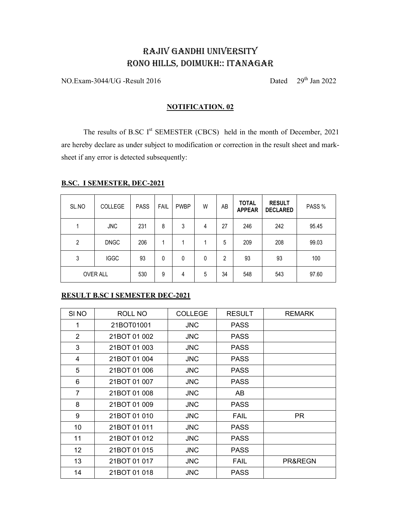# RAJIV GANDHI UNIVERSITY RONO HILLS, DOIMUKH:: ITANAGAR

 $NO. Exam-3044/UG - Result 2016$  Dated  $29<sup>th</sup> Jan 2022$ 

### **NOTIFICATION. 02**

The results of B.SC I<sup>st</sup> SEMESTER (CBCS) held in the month of December, 2021 are hereby declare as under subject to modification or correction in the result sheet and marksheet if any error is detected subsequently:

| SL.NO          | <b>COLLEGE</b>  | <b>PASS</b> | <b>FAIL</b> | <b>PWBP</b> | W | AB | <b>TOTAL</b><br><b>APPEAR</b> | <b>RESULT</b><br><b>DECLARED</b> | PASS % |
|----------------|-----------------|-------------|-------------|-------------|---|----|-------------------------------|----------------------------------|--------|
| 1              | <b>JNC</b>      | 231         | 8           | 3           | 4 | 27 | 246                           | 242                              | 95.45  |
| $\overline{2}$ | <b>DNGC</b>     | 206         |             |             |   | 5  | 209                           | 208                              | 99.03  |
| 3              | <b>IGGC</b>     | 93          | 0           | 0           | 0 | 2  | 93                            | 93                               | 100    |
|                | <b>OVER ALL</b> | 530         | 9           | 4           | 5 | 34 | 548                           | 543                              | 97.60  |

# **B.SC. I SEMESTER, DEC-2021**

# **ERESULT B.SC I SEMESTER DEC-2021**

| SI <sub>NO</sub> | ROLL NO      | <b>COLLEGE</b> | <b>RESULT</b> | <b>REMARK</b> |
|------------------|--------------|----------------|---------------|---------------|
| 1                | 21BOT01001   | <b>JNC</b>     | <b>PASS</b>   |               |
| 2                | 21BOT 01 002 | <b>JNC</b>     | <b>PASS</b>   |               |
| 3                | 21BOT 01 003 | <b>JNC</b>     | <b>PASS</b>   |               |
| 4                | 21BOT 01 004 | <b>JNC</b>     | <b>PASS</b>   |               |
| 5                | 21BOT 01 006 | <b>JNC</b>     | <b>PASS</b>   |               |
| 6                | 21BOT 01 007 | <b>JNC</b>     | <b>PASS</b>   |               |
| $\overline{7}$   | 21BOT 01 008 | <b>JNC</b>     | AB            |               |
| 8                | 21BOT 01 009 | <b>JNC</b>     | <b>PASS</b>   |               |
| 9                | 21BOT 01 010 | <b>JNC</b>     | FAIL          | <b>PR</b>     |
| 10               | 21BOT 01 011 | <b>JNC</b>     | <b>PASS</b>   |               |
| 11               | 21BOT 01 012 | <b>JNC</b>     | <b>PASS</b>   |               |
| 12 <sup>2</sup>  | 21BOT 01 015 | <b>JNC</b>     | <b>PASS</b>   |               |
| 13               | 21BOT 01 017 | <b>JNC</b>     | <b>FAIL</b>   | PR&REGN       |
| 14               | 21BOT 01 018 | <b>JNC</b>     | <b>PASS</b>   |               |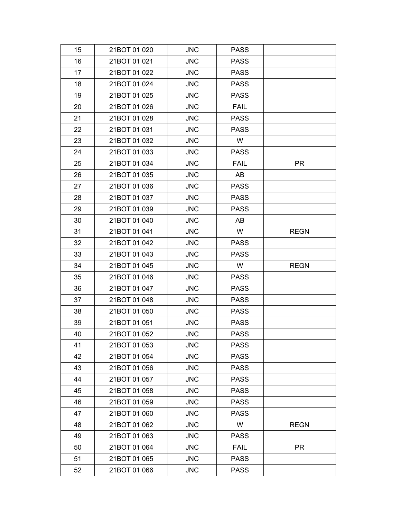| 15 | 21BOT 01 020 | <b>JNC</b> | <b>PASS</b> |             |
|----|--------------|------------|-------------|-------------|
| 16 | 21BOT 01 021 | <b>JNC</b> | <b>PASS</b> |             |
| 17 | 21BOT 01 022 | <b>JNC</b> | <b>PASS</b> |             |
| 18 | 21BOT 01 024 | <b>JNC</b> | <b>PASS</b> |             |
| 19 | 21BOT 01 025 | <b>JNC</b> | <b>PASS</b> |             |
| 20 | 21BOT 01 026 | <b>JNC</b> | <b>FAIL</b> |             |
| 21 | 21BOT 01 028 | <b>JNC</b> | <b>PASS</b> |             |
| 22 | 21BOT 01 031 | <b>JNC</b> | <b>PASS</b> |             |
| 23 | 21BOT 01 032 | <b>JNC</b> | W           |             |
| 24 | 21BOT 01 033 | <b>JNC</b> | <b>PASS</b> |             |
| 25 | 21BOT 01 034 | <b>JNC</b> | <b>FAIL</b> | <b>PR</b>   |
| 26 | 21BOT 01 035 | <b>JNC</b> | AB          |             |
| 27 | 21BOT 01 036 | <b>JNC</b> | <b>PASS</b> |             |
| 28 | 21BOT 01 037 | <b>JNC</b> | <b>PASS</b> |             |
| 29 | 21BOT 01 039 | <b>JNC</b> | <b>PASS</b> |             |
| 30 | 21BOT 01 040 | <b>JNC</b> | AB          |             |
| 31 | 21BOT 01 041 | <b>JNC</b> | W           | <b>REGN</b> |
| 32 | 21BOT 01 042 | <b>JNC</b> | <b>PASS</b> |             |
| 33 | 21BOT 01 043 | <b>JNC</b> | <b>PASS</b> |             |
| 34 | 21BOT 01 045 | <b>JNC</b> | W           | <b>REGN</b> |
| 35 | 21BOT 01 046 | <b>JNC</b> | <b>PASS</b> |             |
| 36 | 21BOT 01 047 | <b>JNC</b> | <b>PASS</b> |             |
| 37 | 21BOT 01 048 | <b>JNC</b> | <b>PASS</b> |             |
| 38 | 21BOT 01 050 | <b>JNC</b> | <b>PASS</b> |             |
| 39 | 21BOT 01 051 | <b>JNC</b> | <b>PASS</b> |             |
| 40 | 21BOT 01 052 | <b>JNC</b> | <b>PASS</b> |             |
| 41 | 21BOT 01 053 | <b>JNC</b> | <b>PASS</b> |             |
| 42 | 21BOT 01 054 | <b>JNC</b> | <b>PASS</b> |             |
| 43 | 21BOT 01 056 | <b>JNC</b> | <b>PASS</b> |             |
| 44 | 21BOT 01 057 | <b>JNC</b> | <b>PASS</b> |             |
| 45 | 21BOT 01 058 | <b>JNC</b> | <b>PASS</b> |             |
| 46 | 21BOT 01 059 | <b>JNC</b> | <b>PASS</b> |             |
| 47 | 21BOT 01 060 | <b>JNC</b> | <b>PASS</b> |             |
| 48 | 21BOT 01 062 | <b>JNC</b> | W           | <b>REGN</b> |
| 49 | 21BOT 01 063 | <b>JNC</b> | <b>PASS</b> |             |
| 50 | 21BOT 01 064 | <b>JNC</b> | <b>FAIL</b> | <b>PR</b>   |
| 51 |              |            |             |             |
|    | 21BOT 01 065 | <b>JNC</b> | <b>PASS</b> |             |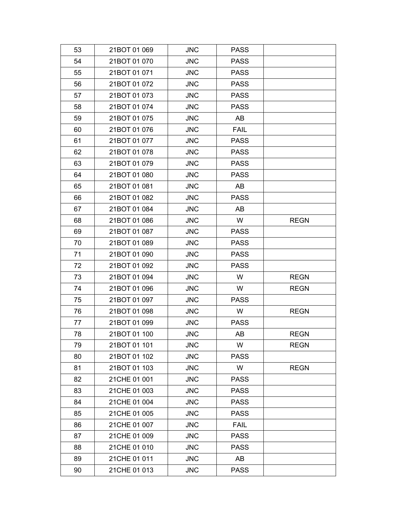| 53 | 21BOT 01 069 | <b>JNC</b> | <b>PASS</b> |             |
|----|--------------|------------|-------------|-------------|
| 54 | 21BOT 01 070 | <b>JNC</b> | <b>PASS</b> |             |
| 55 | 21BOT 01 071 | <b>JNC</b> | <b>PASS</b> |             |
| 56 | 21BOT 01 072 | <b>JNC</b> | <b>PASS</b> |             |
| 57 | 21BOT 01 073 | <b>JNC</b> | <b>PASS</b> |             |
| 58 | 21BOT 01 074 | <b>JNC</b> | <b>PASS</b> |             |
| 59 | 21BOT 01 075 | <b>JNC</b> | AB          |             |
| 60 | 21BOT 01 076 | <b>JNC</b> | <b>FAIL</b> |             |
| 61 | 21BOT 01 077 | <b>JNC</b> | <b>PASS</b> |             |
| 62 | 21BOT 01 078 | <b>JNC</b> | <b>PASS</b> |             |
| 63 | 21BOT 01 079 | <b>JNC</b> | <b>PASS</b> |             |
| 64 | 21BOT 01 080 | <b>JNC</b> | <b>PASS</b> |             |
| 65 | 21BOT 01 081 | <b>JNC</b> | AB          |             |
| 66 | 21BOT 01 082 | <b>JNC</b> | <b>PASS</b> |             |
| 67 | 21BOT 01 084 | <b>JNC</b> | AB          |             |
| 68 | 21BOT 01 086 | <b>JNC</b> | W           | <b>REGN</b> |
| 69 | 21BOT 01 087 | <b>JNC</b> | <b>PASS</b> |             |
| 70 | 21BOT 01 089 | <b>JNC</b> | <b>PASS</b> |             |
| 71 | 21BOT 01 090 | <b>JNC</b> | <b>PASS</b> |             |
| 72 | 21BOT 01 092 | <b>JNC</b> | <b>PASS</b> |             |
| 73 | 21BOT 01 094 | <b>JNC</b> | W           | <b>REGN</b> |
| 74 | 21BOT 01 096 | <b>JNC</b> | W           | <b>REGN</b> |
| 75 | 21BOT 01 097 | <b>JNC</b> | <b>PASS</b> |             |
| 76 | 21BOT 01 098 | <b>JNC</b> | W           | <b>REGN</b> |
| 77 | 21BOT 01 099 | <b>JNC</b> | <b>PASS</b> |             |
| 78 | 21BOT 01 100 | <b>JNC</b> | AB          | <b>REGN</b> |
| 79 | 21BOT 01 101 | <b>JNC</b> | W           | <b>REGN</b> |
| 80 | 21BOT 01 102 | <b>JNC</b> | <b>PASS</b> |             |
| 81 | 21BOT 01 103 | <b>JNC</b> | W           | <b>REGN</b> |
| 82 | 21CHE 01 001 | <b>JNC</b> | <b>PASS</b> |             |
| 83 | 21CHE 01 003 | <b>JNC</b> | <b>PASS</b> |             |
| 84 | 21CHE 01 004 | <b>JNC</b> | <b>PASS</b> |             |
| 85 | 21CHE 01 005 | <b>JNC</b> | <b>PASS</b> |             |
| 86 | 21CHE 01 007 | <b>JNC</b> | <b>FAIL</b> |             |
| 87 | 21CHE 01 009 | <b>JNC</b> | <b>PASS</b> |             |
| 88 | 21CHE 01 010 | <b>JNC</b> | <b>PASS</b> |             |
| 89 | 21CHE 01 011 | <b>JNC</b> | AB          |             |
| 90 | 21CHE 01 013 | <b>JNC</b> | <b>PASS</b> |             |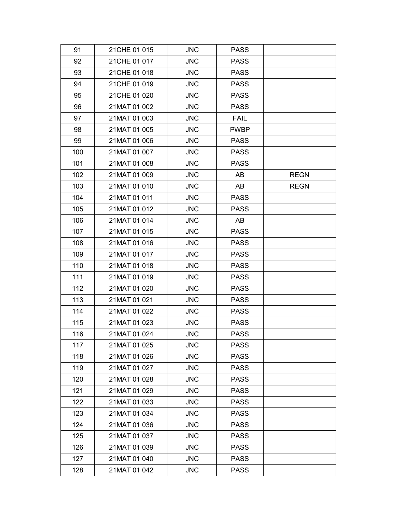| 91  | 21CHE 01 015 | <b>JNC</b> | <b>PASS</b> |             |
|-----|--------------|------------|-------------|-------------|
| 92  | 21CHE 01 017 | <b>JNC</b> | <b>PASS</b> |             |
| 93  | 21CHE 01 018 | <b>JNC</b> | <b>PASS</b> |             |
| 94  | 21CHE 01 019 | <b>JNC</b> | <b>PASS</b> |             |
| 95  | 21CHE 01 020 | <b>JNC</b> | <b>PASS</b> |             |
| 96  | 21MAT 01 002 | <b>JNC</b> | <b>PASS</b> |             |
| 97  | 21MAT 01 003 | <b>JNC</b> | <b>FAIL</b> |             |
| 98  | 21MAT 01 005 | <b>JNC</b> | <b>PWBP</b> |             |
| 99  | 21MAT 01 006 | <b>JNC</b> | <b>PASS</b> |             |
| 100 | 21MAT 01 007 | <b>JNC</b> | <b>PASS</b> |             |
| 101 | 21MAT 01 008 | <b>JNC</b> | <b>PASS</b> |             |
| 102 | 21MAT 01 009 | <b>JNC</b> | AB          | <b>REGN</b> |
| 103 | 21MAT 01 010 | <b>JNC</b> | AB          | <b>REGN</b> |
| 104 | 21MAT 01 011 | <b>JNC</b> | <b>PASS</b> |             |
| 105 | 21MAT 01 012 | <b>JNC</b> | <b>PASS</b> |             |
| 106 | 21MAT 01 014 | <b>JNC</b> | AB          |             |
| 107 | 21MAT 01 015 | <b>JNC</b> | <b>PASS</b> |             |
| 108 | 21MAT 01 016 | <b>JNC</b> | <b>PASS</b> |             |
| 109 | 21MAT 01 017 | <b>JNC</b> | <b>PASS</b> |             |
| 110 | 21MAT 01 018 | <b>JNC</b> | <b>PASS</b> |             |
| 111 | 21MAT 01 019 | <b>JNC</b> | <b>PASS</b> |             |
| 112 | 21MAT 01 020 | <b>JNC</b> | <b>PASS</b> |             |
| 113 | 21MAT 01 021 | <b>JNC</b> | <b>PASS</b> |             |
| 114 | 21MAT 01 022 | <b>JNC</b> | <b>PASS</b> |             |
| 115 | 21MAT 01 023 | <b>JNC</b> | <b>PASS</b> |             |
| 116 | 21MAT 01 024 | <b>JNC</b> | <b>PASS</b> |             |
| 117 | 21MAT 01 025 | <b>JNC</b> | <b>PASS</b> |             |
| 118 | 21MAT 01 026 | <b>JNC</b> | <b>PASS</b> |             |
| 119 | 21MAT 01 027 | <b>JNC</b> | <b>PASS</b> |             |
| 120 | 21MAT 01 028 | <b>JNC</b> | <b>PASS</b> |             |
| 121 | 21MAT 01 029 | <b>JNC</b> | <b>PASS</b> |             |
| 122 | 21MAT 01 033 | <b>JNC</b> | <b>PASS</b> |             |
| 123 | 21MAT 01 034 | <b>JNC</b> | <b>PASS</b> |             |
| 124 | 21MAT 01 036 | <b>JNC</b> | <b>PASS</b> |             |
| 125 | 21MAT 01 037 | <b>JNC</b> | <b>PASS</b> |             |
| 126 | 21MAT 01 039 | <b>JNC</b> | <b>PASS</b> |             |
| 127 | 21MAT 01 040 | <b>JNC</b> | <b>PASS</b> |             |
| 128 | 21MAT 01 042 | <b>JNC</b> | <b>PASS</b> |             |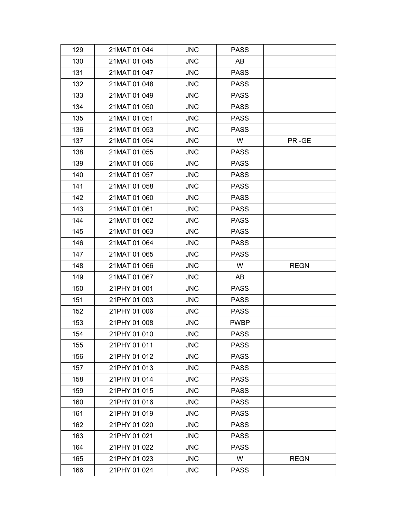| 129 | 21MAT 01 044 | <b>JNC</b> | <b>PASS</b> |             |
|-----|--------------|------------|-------------|-------------|
| 130 | 21MAT 01 045 | <b>JNC</b> | AB          |             |
| 131 | 21MAT 01 047 | <b>JNC</b> | <b>PASS</b> |             |
| 132 | 21MAT 01 048 | <b>JNC</b> | <b>PASS</b> |             |
| 133 | 21MAT 01 049 | <b>JNC</b> | <b>PASS</b> |             |
| 134 | 21MAT 01 050 | <b>JNC</b> | <b>PASS</b> |             |
| 135 | 21MAT 01 051 | <b>JNC</b> | <b>PASS</b> |             |
| 136 | 21MAT 01 053 | <b>JNC</b> | <b>PASS</b> |             |
| 137 | 21MAT 01 054 | <b>JNC</b> | W           | PR-GE       |
| 138 | 21MAT 01 055 | <b>JNC</b> | <b>PASS</b> |             |
| 139 | 21MAT 01 056 | <b>JNC</b> | <b>PASS</b> |             |
| 140 | 21MAT 01 057 | <b>JNC</b> | <b>PASS</b> |             |
| 141 | 21MAT 01 058 | <b>JNC</b> | <b>PASS</b> |             |
| 142 | 21MAT 01 060 | <b>JNC</b> | <b>PASS</b> |             |
| 143 | 21MAT 01 061 | <b>JNC</b> | <b>PASS</b> |             |
| 144 | 21MAT 01 062 | <b>JNC</b> | <b>PASS</b> |             |
| 145 | 21MAT 01 063 | <b>JNC</b> | <b>PASS</b> |             |
| 146 | 21MAT 01 064 | <b>JNC</b> | <b>PASS</b> |             |
| 147 | 21MAT 01 065 | <b>JNC</b> | <b>PASS</b> |             |
|     |              |            |             |             |
| 148 | 21MAT 01 066 | <b>JNC</b> | W           | <b>REGN</b> |
| 149 | 21MAT 01 067 | <b>JNC</b> | AB          |             |
| 150 | 21PHY 01 001 | <b>JNC</b> | <b>PASS</b> |             |
| 151 | 21PHY 01 003 | <b>JNC</b> | <b>PASS</b> |             |
| 152 | 21PHY 01 006 | <b>JNC</b> | <b>PASS</b> |             |
| 153 | 21PHY 01 008 | <b>JNC</b> | <b>PWBP</b> |             |
| 154 | 21PHY 01 010 | <b>JNC</b> | <b>PASS</b> |             |
| 155 | 21PHY 01 011 | <b>JNC</b> | <b>PASS</b> |             |
| 156 | 21PHY 01 012 | <b>JNC</b> | <b>PASS</b> |             |
| 157 | 21PHY 01 013 | <b>JNC</b> | <b>PASS</b> |             |
| 158 | 21PHY 01 014 | <b>JNC</b> | <b>PASS</b> |             |
| 159 | 21PHY 01 015 | <b>JNC</b> | <b>PASS</b> |             |
| 160 | 21PHY 01 016 | <b>JNC</b> | <b>PASS</b> |             |
| 161 | 21PHY 01 019 | <b>JNC</b> | <b>PASS</b> |             |
| 162 | 21PHY 01 020 | <b>JNC</b> | <b>PASS</b> |             |
| 163 | 21PHY 01 021 | <b>JNC</b> | <b>PASS</b> |             |
| 164 | 21PHY 01 022 | <b>JNC</b> | <b>PASS</b> |             |
| 165 | 21PHY 01 023 | <b>JNC</b> | W           | <b>REGN</b> |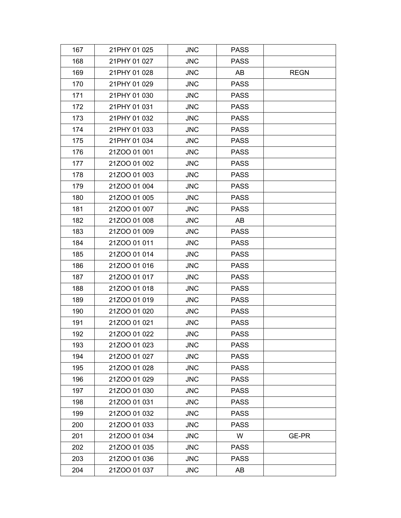| 167 | 21PHY 01 025 | <b>JNC</b> | <b>PASS</b> |             |
|-----|--------------|------------|-------------|-------------|
| 168 | 21PHY 01 027 | <b>JNC</b> | <b>PASS</b> |             |
| 169 | 21PHY 01 028 | <b>JNC</b> | AB          | <b>REGN</b> |
| 170 | 21PHY 01 029 | <b>JNC</b> | <b>PASS</b> |             |
| 171 | 21PHY 01 030 | <b>JNC</b> | <b>PASS</b> |             |
| 172 | 21PHY 01 031 | <b>JNC</b> | <b>PASS</b> |             |
| 173 | 21PHY 01 032 | <b>JNC</b> | <b>PASS</b> |             |
| 174 | 21PHY 01 033 | <b>JNC</b> | <b>PASS</b> |             |
| 175 | 21PHY 01 034 | <b>JNC</b> | <b>PASS</b> |             |
| 176 | 21ZOO 01 001 | <b>JNC</b> | <b>PASS</b> |             |
| 177 | 21ZOO 01 002 | <b>JNC</b> | <b>PASS</b> |             |
| 178 | 21ZOO 01 003 | <b>JNC</b> | <b>PASS</b> |             |
| 179 | 21ZOO 01 004 | <b>JNC</b> | <b>PASS</b> |             |
| 180 | 21ZOO 01 005 | <b>JNC</b> | <b>PASS</b> |             |
| 181 | 21ZOO 01 007 | <b>JNC</b> | <b>PASS</b> |             |
| 182 | 21ZOO 01 008 | <b>JNC</b> | AB          |             |
| 183 | 21ZOO 01 009 | <b>JNC</b> | <b>PASS</b> |             |
| 184 | 21ZOO 01 011 | <b>JNC</b> | <b>PASS</b> |             |
| 185 | 21ZOO 01 014 | <b>JNC</b> | <b>PASS</b> |             |
| 186 | 21ZOO 01 016 | <b>JNC</b> | <b>PASS</b> |             |
| 187 | 21ZOO 01 017 | <b>JNC</b> | <b>PASS</b> |             |
| 188 | 21ZOO 01 018 | <b>JNC</b> | <b>PASS</b> |             |
| 189 | 21ZOO 01 019 | <b>JNC</b> | <b>PASS</b> |             |
| 190 | 21ZOO 01 020 | <b>JNC</b> | <b>PASS</b> |             |
| 191 | 21ZOO 01 021 | <b>JNC</b> | <b>PASS</b> |             |
| 192 | 21ZOO 01 022 | <b>JNC</b> | <b>PASS</b> |             |
| 193 | 21ZOO 01 023 | <b>JNC</b> | <b>PASS</b> |             |
| 194 | 21ZOO 01 027 | <b>JNC</b> | <b>PASS</b> |             |
| 195 | 21ZOO 01 028 | <b>JNC</b> | <b>PASS</b> |             |
| 196 | 21ZOO 01 029 | <b>JNC</b> | <b>PASS</b> |             |
| 197 | 21ZOO 01 030 | <b>JNC</b> | <b>PASS</b> |             |
| 198 | 21ZOO 01 031 | <b>JNC</b> | <b>PASS</b> |             |
| 199 | 21ZOO 01 032 | <b>JNC</b> | <b>PASS</b> |             |
| 200 | 21ZOO 01 033 | <b>JNC</b> | <b>PASS</b> |             |
| 201 | 21ZOO 01 034 | <b>JNC</b> | W           | GE-PR       |
| 202 | 21ZOO 01 035 | <b>JNC</b> | <b>PASS</b> |             |
| 203 | 21ZOO 01 036 | <b>JNC</b> | <b>PASS</b> |             |
| 204 | 21ZOO 01 037 | <b>JNC</b> | AB          |             |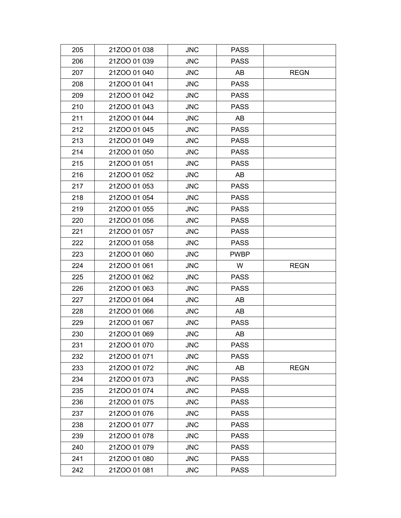| 205 | 21ZOO 01 038 | <b>JNC</b> | <b>PASS</b> |             |
|-----|--------------|------------|-------------|-------------|
| 206 | 21ZOO 01 039 | <b>JNC</b> | <b>PASS</b> |             |
| 207 | 21ZOO 01 040 | <b>JNC</b> | AB          | <b>REGN</b> |
| 208 | 21ZOO 01 041 | <b>JNC</b> | <b>PASS</b> |             |
| 209 | 21ZOO 01 042 | <b>JNC</b> | <b>PASS</b> |             |
| 210 | 21ZOO 01 043 | <b>JNC</b> | <b>PASS</b> |             |
| 211 | 21ZOO 01 044 | <b>JNC</b> | AB          |             |
| 212 | 21ZOO 01 045 | <b>JNC</b> | <b>PASS</b> |             |
| 213 | 21ZOO 01 049 | <b>JNC</b> | <b>PASS</b> |             |
| 214 | 21ZOO 01 050 | <b>JNC</b> | <b>PASS</b> |             |
| 215 | 21ZOO 01 051 | <b>JNC</b> | <b>PASS</b> |             |
| 216 | 21ZOO 01 052 | <b>JNC</b> | AB          |             |
| 217 | 21ZOO 01 053 | <b>JNC</b> | <b>PASS</b> |             |
| 218 | 21ZOO 01 054 | <b>JNC</b> | <b>PASS</b> |             |
| 219 | 21ZOO 01 055 | <b>JNC</b> | <b>PASS</b> |             |
| 220 | 21ZOO 01 056 | <b>JNC</b> | <b>PASS</b> |             |
| 221 | 21ZOO 01 057 | <b>JNC</b> | <b>PASS</b> |             |
| 222 | 21ZOO 01 058 | <b>JNC</b> | <b>PASS</b> |             |
| 223 | 21ZOO 01 060 | <b>JNC</b> | <b>PWBP</b> |             |
| 224 | 21ZOO 01 061 | <b>JNC</b> | W           | <b>REGN</b> |
| 225 | 21ZOO 01 062 | <b>JNC</b> | <b>PASS</b> |             |
| 226 | 21ZOO 01 063 | <b>JNC</b> | <b>PASS</b> |             |
| 227 | 21ZOO 01 064 | <b>JNC</b> | AB          |             |
| 228 |              |            |             |             |
|     | 21ZOO 01 066 | <b>JNC</b> | AB          |             |
| 229 | 21ZOO 01 067 | <b>JNC</b> | <b>PASS</b> |             |
| 230 | 21ZOO 01 069 | <b>JNC</b> | AB          |             |
| 231 | 21ZOO 01 070 | <b>JNC</b> | <b>PASS</b> |             |
| 232 | 21ZOO 01 071 | <b>JNC</b> | <b>PASS</b> |             |
| 233 | 21ZOO 01 072 | <b>JNC</b> | AB          | <b>REGN</b> |
| 234 | 21ZOO 01 073 | <b>JNC</b> | <b>PASS</b> |             |
| 235 | 21ZOO 01 074 | <b>JNC</b> | <b>PASS</b> |             |
| 236 | 21ZOO 01 075 | <b>JNC</b> | <b>PASS</b> |             |
| 237 | 21ZOO 01 076 | <b>JNC</b> | <b>PASS</b> |             |
| 238 | 21ZOO 01 077 | <b>JNC</b> | <b>PASS</b> |             |
| 239 | 21ZOO 01 078 | <b>JNC</b> | <b>PASS</b> |             |
| 240 | 21ZOO 01 079 | <b>JNC</b> | <b>PASS</b> |             |
| 241 | 21ZOO 01 080 | <b>JNC</b> | <b>PASS</b> |             |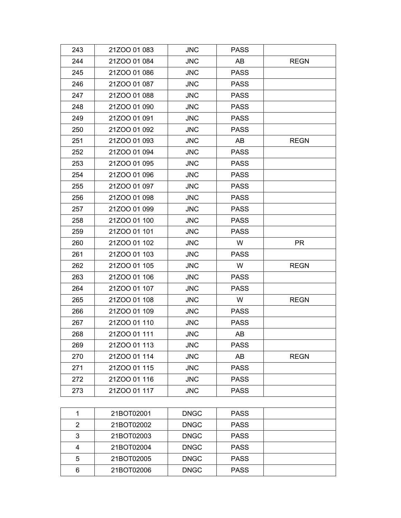| 243            | 21ZOO 01 083 | <b>JNC</b>  | <b>PASS</b> |             |
|----------------|--------------|-------------|-------------|-------------|
| 244            | 21ZOO 01 084 | <b>JNC</b>  | AB          | <b>REGN</b> |
| 245            | 21ZOO 01 086 | <b>JNC</b>  | <b>PASS</b> |             |
| 246            | 21ZOO 01 087 | <b>JNC</b>  | <b>PASS</b> |             |
| 247            | 21ZOO 01 088 | <b>JNC</b>  | <b>PASS</b> |             |
| 248            | 21ZOO 01 090 | <b>JNC</b>  | <b>PASS</b> |             |
| 249            | 21ZOO 01 091 | <b>JNC</b>  | <b>PASS</b> |             |
| 250            | 21ZOO 01 092 | <b>JNC</b>  | <b>PASS</b> |             |
| 251            | 21ZOO 01 093 | <b>JNC</b>  | AB          | <b>REGN</b> |
| 252            | 21ZOO 01 094 | <b>JNC</b>  | <b>PASS</b> |             |
| 253            | 21ZOO 01 095 | <b>JNC</b>  | <b>PASS</b> |             |
| 254            | 21ZOO 01 096 | <b>JNC</b>  | <b>PASS</b> |             |
| 255            | 21ZOO 01 097 | <b>JNC</b>  | <b>PASS</b> |             |
| 256            | 21ZOO 01 098 | <b>JNC</b>  | <b>PASS</b> |             |
| 257            | 21ZOO 01 099 | <b>JNC</b>  | <b>PASS</b> |             |
| 258            | 21ZOO 01 100 | <b>JNC</b>  | <b>PASS</b> |             |
| 259            | 21ZOO 01 101 | <b>JNC</b>  | <b>PASS</b> |             |
| 260            | 21ZOO 01 102 | <b>JNC</b>  | W           | <b>PR</b>   |
| 261            | 21ZOO 01 103 | <b>JNC</b>  | <b>PASS</b> |             |
| 262            | 21ZOO 01 105 | <b>JNC</b>  | W           | <b>REGN</b> |
| 263            | 21ZOO 01 106 | <b>JNC</b>  | <b>PASS</b> |             |
| 264            | 21ZOO 01 107 | <b>JNC</b>  | <b>PASS</b> |             |
| 265            | 21ZOO 01 108 | <b>JNC</b>  | W           | <b>REGN</b> |
| 266            | 21ZOO 01 109 | <b>JNC</b>  | <b>PASS</b> |             |
| 267            | 21ZOO 01 110 | <b>JNC</b>  | <b>PASS</b> |             |
| 268            | 21ZOO 01 111 | <b>JNC</b>  | AB          |             |
| 269            | 21ZOO 01 113 | <b>JNC</b>  | <b>PASS</b> |             |
| 270            | 21ZOO 01 114 | <b>JNC</b>  | AB          | <b>REGN</b> |
| 271            | 21ZOO 01 115 | <b>JNC</b>  | <b>PASS</b> |             |
| 272            | 21ZOO 01 116 | <b>JNC</b>  | <b>PASS</b> |             |
| 273            | 21ZOO 01 117 | <b>JNC</b>  | <b>PASS</b> |             |
|                |              |             |             |             |
| 1              | 21BOT02001   | <b>DNGC</b> | <b>PASS</b> |             |
| $\overline{2}$ | 21BOT02002   | <b>DNGC</b> | <b>PASS</b> |             |
| 3              | 21BOT02003   | <b>DNGC</b> | <b>PASS</b> |             |
| 4              | 21BOT02004   | <b>DNGC</b> | <b>PASS</b> |             |
| 5              | 21BOT02005   | <b>DNGC</b> | <b>PASS</b> |             |
| 6              | 21BOT02006   | <b>DNGC</b> | <b>PASS</b> |             |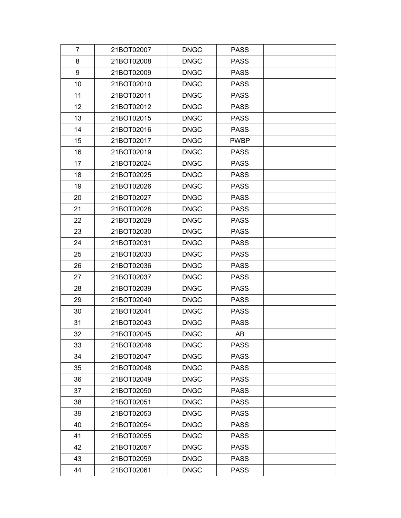| $\overline{7}$ | 21BOT02007 | <b>DNGC</b> | <b>PASS</b> |  |
|----------------|------------|-------------|-------------|--|
| 8              | 21BOT02008 | <b>DNGC</b> | <b>PASS</b> |  |
| 9              | 21BOT02009 | <b>DNGC</b> | <b>PASS</b> |  |
| 10             | 21BOT02010 | <b>DNGC</b> | <b>PASS</b> |  |
| 11             | 21BOT02011 | <b>DNGC</b> | <b>PASS</b> |  |
| 12             | 21BOT02012 | <b>DNGC</b> | <b>PASS</b> |  |
| 13             | 21BOT02015 | <b>DNGC</b> | <b>PASS</b> |  |
| 14             | 21BOT02016 | <b>DNGC</b> | <b>PASS</b> |  |
| 15             | 21BOT02017 | <b>DNGC</b> | <b>PWBP</b> |  |
| 16             | 21BOT02019 | <b>DNGC</b> | <b>PASS</b> |  |
| 17             | 21BOT02024 | <b>DNGC</b> | <b>PASS</b> |  |
| 18             | 21BOT02025 | <b>DNGC</b> | <b>PASS</b> |  |
| 19             | 21BOT02026 | <b>DNGC</b> | <b>PASS</b> |  |
| 20             | 21BOT02027 | <b>DNGC</b> | <b>PASS</b> |  |
| 21             | 21BOT02028 | <b>DNGC</b> | <b>PASS</b> |  |
| 22             | 21BOT02029 | <b>DNGC</b> | <b>PASS</b> |  |
| 23             | 21BOT02030 | <b>DNGC</b> | <b>PASS</b> |  |
| 24             | 21BOT02031 | <b>DNGC</b> | <b>PASS</b> |  |
| 25             | 21BOT02033 | <b>DNGC</b> | <b>PASS</b> |  |
| 26             | 21BOT02036 | <b>DNGC</b> | <b>PASS</b> |  |
| 27             | 21BOT02037 | <b>DNGC</b> | <b>PASS</b> |  |
| 28             | 21BOT02039 | <b>DNGC</b> | <b>PASS</b> |  |
| 29             | 21BOT02040 | <b>DNGC</b> | <b>PASS</b> |  |
| 30             | 21BOT02041 | <b>DNGC</b> | <b>PASS</b> |  |
| 31             | 21BOT02043 | <b>DNGC</b> | <b>PASS</b> |  |
| 32             | 21BOT02045 | <b>DNGC</b> | AB          |  |
| 33             | 21BOT02046 | <b>DNGC</b> | <b>PASS</b> |  |
| 34             | 21BOT02047 | <b>DNGC</b> | <b>PASS</b> |  |
| 35             | 21BOT02048 | <b>DNGC</b> | <b>PASS</b> |  |
| 36             | 21BOT02049 | <b>DNGC</b> | <b>PASS</b> |  |
| 37             | 21BOT02050 | <b>DNGC</b> | <b>PASS</b> |  |
| 38             | 21BOT02051 | <b>DNGC</b> | <b>PASS</b> |  |
| 39             | 21BOT02053 | <b>DNGC</b> | <b>PASS</b> |  |
| 40             | 21BOT02054 | <b>DNGC</b> | <b>PASS</b> |  |
| 41             | 21BOT02055 | <b>DNGC</b> | <b>PASS</b> |  |
| 42             | 21BOT02057 | <b>DNGC</b> | <b>PASS</b> |  |
| 43             | 21BOT02059 | <b>DNGC</b> | <b>PASS</b> |  |
| 44             | 21BOT02061 | <b>DNGC</b> | <b>PASS</b> |  |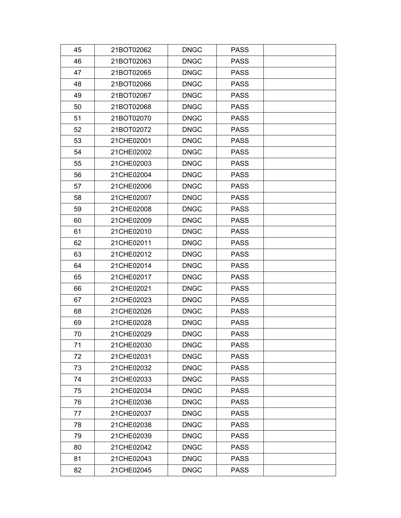| 45 | 21BOT02062 | <b>DNGC</b> | <b>PASS</b> |  |
|----|------------|-------------|-------------|--|
| 46 | 21BOT02063 | <b>DNGC</b> | <b>PASS</b> |  |
| 47 | 21BOT02065 | <b>DNGC</b> | <b>PASS</b> |  |
| 48 | 21BOT02066 | <b>DNGC</b> | <b>PASS</b> |  |
| 49 | 21BOT02067 | <b>DNGC</b> | <b>PASS</b> |  |
| 50 | 21BOT02068 | <b>DNGC</b> | <b>PASS</b> |  |
| 51 | 21BOT02070 | <b>DNGC</b> | <b>PASS</b> |  |
| 52 | 21BOT02072 | <b>DNGC</b> | <b>PASS</b> |  |
| 53 | 21CHE02001 | <b>DNGC</b> | <b>PASS</b> |  |
| 54 | 21CHE02002 | <b>DNGC</b> | <b>PASS</b> |  |
| 55 | 21CHE02003 | <b>DNGC</b> | <b>PASS</b> |  |
| 56 | 21CHE02004 | <b>DNGC</b> | <b>PASS</b> |  |
| 57 | 21CHE02006 | <b>DNGC</b> | <b>PASS</b> |  |
| 58 | 21CHE02007 | <b>DNGC</b> | <b>PASS</b> |  |
| 59 | 21CHE02008 | <b>DNGC</b> | <b>PASS</b> |  |
| 60 | 21CHE02009 | <b>DNGC</b> | <b>PASS</b> |  |
| 61 | 21CHE02010 | <b>DNGC</b> | <b>PASS</b> |  |
| 62 | 21CHE02011 | <b>DNGC</b> | <b>PASS</b> |  |
| 63 | 21CHE02012 | <b>DNGC</b> | <b>PASS</b> |  |
| 64 | 21CHE02014 | <b>DNGC</b> | <b>PASS</b> |  |
| 65 | 21CHE02017 | <b>DNGC</b> | <b>PASS</b> |  |
| 66 | 21CHE02021 | <b>DNGC</b> | <b>PASS</b> |  |
| 67 | 21CHE02023 | <b>DNGC</b> | <b>PASS</b> |  |
| 68 | 21CHE02026 | <b>DNGC</b> | <b>PASS</b> |  |
| 69 | 21CHE02028 | <b>DNGC</b> | <b>PASS</b> |  |
| 70 | 21CHE02029 | <b>DNGC</b> | <b>PASS</b> |  |
| 71 | 21CHE02030 | <b>DNGC</b> | <b>PASS</b> |  |
| 72 | 21CHE02031 | <b>DNGC</b> | <b>PASS</b> |  |
| 73 | 21CHE02032 | <b>DNGC</b> | <b>PASS</b> |  |
| 74 | 21CHE02033 | <b>DNGC</b> | <b>PASS</b> |  |
| 75 | 21CHE02034 | <b>DNGC</b> | <b>PASS</b> |  |
| 76 | 21CHE02036 | <b>DNGC</b> | <b>PASS</b> |  |
| 77 | 21CHE02037 | <b>DNGC</b> | <b>PASS</b> |  |
| 78 | 21CHE02038 | <b>DNGC</b> | <b>PASS</b> |  |
| 79 | 21CHE02039 | <b>DNGC</b> | <b>PASS</b> |  |
| 80 | 21CHE02042 | <b>DNGC</b> | <b>PASS</b> |  |
| 81 | 21CHE02043 | <b>DNGC</b> | <b>PASS</b> |  |
| 82 | 21CHE02045 | <b>DNGC</b> | <b>PASS</b> |  |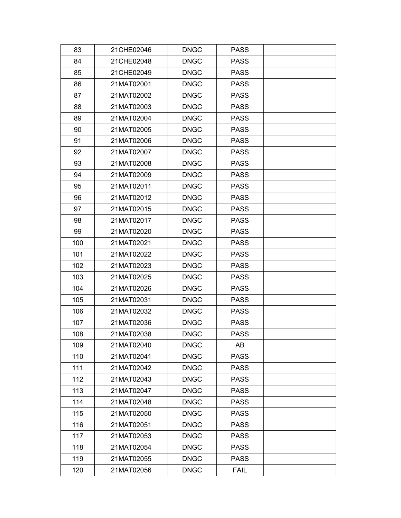| 83  | 21CHE02046 | <b>DNGC</b> | <b>PASS</b> |  |
|-----|------------|-------------|-------------|--|
| 84  | 21CHE02048 | <b>DNGC</b> | <b>PASS</b> |  |
| 85  | 21CHE02049 | <b>DNGC</b> | <b>PASS</b> |  |
| 86  | 21MAT02001 | <b>DNGC</b> | <b>PASS</b> |  |
| 87  | 21MAT02002 | <b>DNGC</b> | <b>PASS</b> |  |
| 88  | 21MAT02003 | <b>DNGC</b> | <b>PASS</b> |  |
| 89  | 21MAT02004 | <b>DNGC</b> | <b>PASS</b> |  |
| 90  | 21MAT02005 | <b>DNGC</b> | <b>PASS</b> |  |
| 91  | 21MAT02006 | <b>DNGC</b> | <b>PASS</b> |  |
| 92  | 21MAT02007 | <b>DNGC</b> | <b>PASS</b> |  |
| 93  | 21MAT02008 | <b>DNGC</b> | <b>PASS</b> |  |
| 94  | 21MAT02009 | <b>DNGC</b> | <b>PASS</b> |  |
| 95  | 21MAT02011 | <b>DNGC</b> | <b>PASS</b> |  |
| 96  | 21MAT02012 | <b>DNGC</b> | <b>PASS</b> |  |
| 97  | 21MAT02015 | <b>DNGC</b> | <b>PASS</b> |  |
| 98  | 21MAT02017 | <b>DNGC</b> | <b>PASS</b> |  |
| 99  | 21MAT02020 | <b>DNGC</b> | <b>PASS</b> |  |
| 100 | 21MAT02021 | <b>DNGC</b> | <b>PASS</b> |  |
| 101 | 21MAT02022 | <b>DNGC</b> | <b>PASS</b> |  |
| 102 | 21MAT02023 | <b>DNGC</b> | <b>PASS</b> |  |
| 103 | 21MAT02025 | <b>DNGC</b> | <b>PASS</b> |  |
| 104 | 21MAT02026 | <b>DNGC</b> | <b>PASS</b> |  |
| 105 | 21MAT02031 | <b>DNGC</b> | <b>PASS</b> |  |
| 106 | 21MAT02032 | <b>DNGC</b> | <b>PASS</b> |  |
| 107 | 21MAT02036 | <b>DNGC</b> | <b>PASS</b> |  |
| 108 | 21MAT02038 | <b>DNGC</b> | <b>PASS</b> |  |
| 109 | 21MAT02040 | <b>DNGC</b> | AB          |  |
| 110 | 21MAT02041 | <b>DNGC</b> | <b>PASS</b> |  |
| 111 | 21MAT02042 | <b>DNGC</b> | <b>PASS</b> |  |
| 112 | 21MAT02043 | <b>DNGC</b> | <b>PASS</b> |  |
| 113 | 21MAT02047 | <b>DNGC</b> | <b>PASS</b> |  |
| 114 | 21MAT02048 | <b>DNGC</b> | <b>PASS</b> |  |
| 115 | 21MAT02050 | <b>DNGC</b> | <b>PASS</b> |  |
| 116 | 21MAT02051 | <b>DNGC</b> | <b>PASS</b> |  |
| 117 | 21MAT02053 | <b>DNGC</b> | <b>PASS</b> |  |
| 118 | 21MAT02054 | <b>DNGC</b> | <b>PASS</b> |  |
| 119 | 21MAT02055 | <b>DNGC</b> | <b>PASS</b> |  |
| 120 | 21MAT02056 | <b>DNGC</b> | <b>FAIL</b> |  |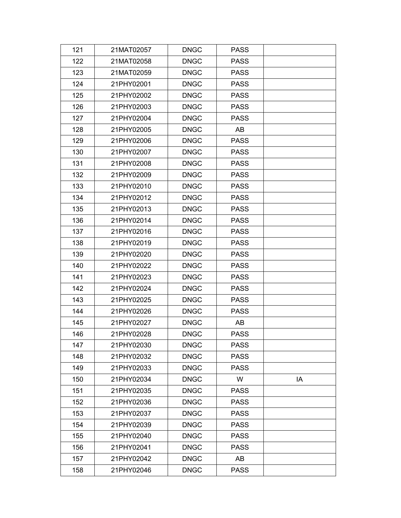| 121 | 21MAT02057 | <b>DNGC</b> | <b>PASS</b> |    |
|-----|------------|-------------|-------------|----|
| 122 | 21MAT02058 | <b>DNGC</b> | <b>PASS</b> |    |
| 123 | 21MAT02059 | <b>DNGC</b> | <b>PASS</b> |    |
| 124 | 21PHY02001 | <b>DNGC</b> | <b>PASS</b> |    |
| 125 | 21PHY02002 | <b>DNGC</b> | <b>PASS</b> |    |
| 126 | 21PHY02003 | <b>DNGC</b> | <b>PASS</b> |    |
| 127 | 21PHY02004 | <b>DNGC</b> | <b>PASS</b> |    |
| 128 | 21PHY02005 | <b>DNGC</b> | AB          |    |
| 129 | 21PHY02006 | <b>DNGC</b> | <b>PASS</b> |    |
| 130 | 21PHY02007 | <b>DNGC</b> | <b>PASS</b> |    |
| 131 | 21PHY02008 | <b>DNGC</b> | <b>PASS</b> |    |
| 132 | 21PHY02009 | <b>DNGC</b> | <b>PASS</b> |    |
| 133 | 21PHY02010 | <b>DNGC</b> | <b>PASS</b> |    |
| 134 | 21PHY02012 | <b>DNGC</b> | <b>PASS</b> |    |
| 135 | 21PHY02013 | <b>DNGC</b> | <b>PASS</b> |    |
| 136 | 21PHY02014 | <b>DNGC</b> | <b>PASS</b> |    |
| 137 | 21PHY02016 | <b>DNGC</b> | <b>PASS</b> |    |
| 138 | 21PHY02019 | <b>DNGC</b> | <b>PASS</b> |    |
| 139 | 21PHY02020 | <b>DNGC</b> | <b>PASS</b> |    |
| 140 | 21PHY02022 | <b>DNGC</b> | <b>PASS</b> |    |
| 141 | 21PHY02023 | <b>DNGC</b> | <b>PASS</b> |    |
| 142 | 21PHY02024 | <b>DNGC</b> | <b>PASS</b> |    |
| 143 | 21PHY02025 | <b>DNGC</b> | <b>PASS</b> |    |
| 144 | 21PHY02026 | <b>DNGC</b> | <b>PASS</b> |    |
| 145 | 21PHY02027 | <b>DNGC</b> | AB          |    |
| 146 | 21PHY02028 | <b>DNGC</b> | <b>PASS</b> |    |
| 147 | 21PHY02030 | <b>DNGC</b> | <b>PASS</b> |    |
| 148 | 21PHY02032 | <b>DNGC</b> | <b>PASS</b> |    |
| 149 | 21PHY02033 | <b>DNGC</b> | <b>PASS</b> |    |
| 150 | 21PHY02034 | <b>DNGC</b> | W           | IA |
| 151 | 21PHY02035 | <b>DNGC</b> | <b>PASS</b> |    |
| 152 | 21PHY02036 | <b>DNGC</b> | <b>PASS</b> |    |
| 153 | 21PHY02037 | <b>DNGC</b> | <b>PASS</b> |    |
| 154 | 21PHY02039 | <b>DNGC</b> | <b>PASS</b> |    |
| 155 | 21PHY02040 | <b>DNGC</b> | <b>PASS</b> |    |
| 156 | 21PHY02041 | <b>DNGC</b> | <b>PASS</b> |    |
| 157 | 21PHY02042 | <b>DNGC</b> | AB          |    |
| 158 | 21PHY02046 | <b>DNGC</b> | <b>PASS</b> |    |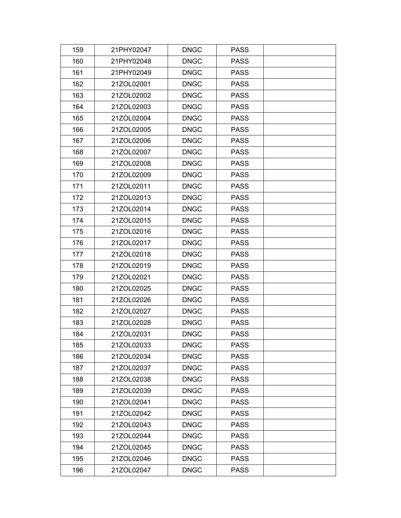| 159 | 21PHY02047 | <b>DNGC</b> | <b>PASS</b> |  |
|-----|------------|-------------|-------------|--|
| 160 | 21PHY02048 | <b>DNGC</b> | <b>PASS</b> |  |
| 161 | 21PHY02049 | <b>DNGC</b> | <b>PASS</b> |  |
| 162 | 21ZOL02001 | <b>DNGC</b> | <b>PASS</b> |  |
| 163 | 21ZOL02002 | <b>DNGC</b> | <b>PASS</b> |  |
| 164 | 21ZOL02003 | <b>DNGC</b> | <b>PASS</b> |  |
| 165 | 21ZOL02004 | <b>DNGC</b> | <b>PASS</b> |  |
| 166 | 21ZOL02005 | <b>DNGC</b> | <b>PASS</b> |  |
| 167 | 21ZOL02006 | <b>DNGC</b> | <b>PASS</b> |  |
| 168 | 21ZOL02007 | <b>DNGC</b> | <b>PASS</b> |  |
| 169 | 21ZOL02008 | <b>DNGC</b> | <b>PASS</b> |  |
| 170 | 21ZOL02009 | <b>DNGC</b> | <b>PASS</b> |  |
| 171 | 21ZOL02011 | <b>DNGC</b> | <b>PASS</b> |  |
| 172 | 21ZOL02013 | <b>DNGC</b> | <b>PASS</b> |  |
| 173 | 21ZOL02014 | <b>DNGC</b> | <b>PASS</b> |  |
| 174 | 21ZOL02015 | <b>DNGC</b> | <b>PASS</b> |  |
| 175 | 21ZOL02016 | <b>DNGC</b> | <b>PASS</b> |  |
| 176 | 21ZOL02017 | <b>DNGC</b> | <b>PASS</b> |  |
| 177 | 21ZOL02018 | <b>DNGC</b> | <b>PASS</b> |  |
| 178 | 21ZOL02019 | <b>DNGC</b> | <b>PASS</b> |  |
| 179 | 21ZOL02021 | <b>DNGC</b> | <b>PASS</b> |  |
| 180 | 21ZOL02025 | <b>DNGC</b> | <b>PASS</b> |  |
| 181 | 21ZOL02026 | <b>DNGC</b> | <b>PASS</b> |  |
| 182 | 21ZOL02027 | <b>DNGC</b> | <b>PASS</b> |  |
| 183 | 21ZOL02028 | <b>DNGC</b> | <b>PASS</b> |  |
| 184 | 21ZOL02031 | <b>DNGC</b> | <b>PASS</b> |  |
| 185 | 21ZOL02033 | <b>DNGC</b> | <b>PASS</b> |  |
| 186 | 21ZOL02034 | <b>DNGC</b> | <b>PASS</b> |  |
| 187 | 21ZOL02037 | <b>DNGC</b> | <b>PASS</b> |  |
| 188 | 21ZOL02038 | <b>DNGC</b> | <b>PASS</b> |  |
| 189 | 21ZOL02039 | <b>DNGC</b> | <b>PASS</b> |  |
| 190 | 21ZOL02041 | <b>DNGC</b> | <b>PASS</b> |  |
| 191 | 21ZOL02042 | <b>DNGC</b> | <b>PASS</b> |  |
| 192 | 21ZOL02043 | <b>DNGC</b> | <b>PASS</b> |  |
| 193 | 21ZOL02044 | <b>DNGC</b> | <b>PASS</b> |  |
| 194 | 21ZOL02045 | <b>DNGC</b> | <b>PASS</b> |  |
| 195 | 21ZOL02046 | <b>DNGC</b> | <b>PASS</b> |  |
| 196 | 21ZOL02047 | <b>DNGC</b> | <b>PASS</b> |  |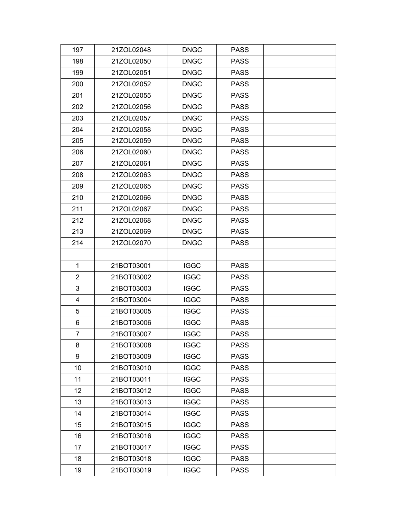| 197            | 21ZOL02048 | <b>DNGC</b> | <b>PASS</b> |  |
|----------------|------------|-------------|-------------|--|
| 198            | 21ZOL02050 | <b>DNGC</b> | <b>PASS</b> |  |
| 199            | 21ZOL02051 | <b>DNGC</b> | <b>PASS</b> |  |
| 200            | 21ZOL02052 | <b>DNGC</b> | <b>PASS</b> |  |
| 201            | 21ZOL02055 | <b>DNGC</b> | <b>PASS</b> |  |
| 202            | 21ZOL02056 | <b>DNGC</b> | <b>PASS</b> |  |
| 203            | 21ZOL02057 | <b>DNGC</b> | <b>PASS</b> |  |
| 204            | 21ZOL02058 | <b>DNGC</b> | <b>PASS</b> |  |
| 205            | 21ZOL02059 | <b>DNGC</b> | <b>PASS</b> |  |
| 206            | 21ZOL02060 | <b>DNGC</b> | <b>PASS</b> |  |
| 207            | 21ZOL02061 | <b>DNGC</b> | <b>PASS</b> |  |
| 208            | 21ZOL02063 | <b>DNGC</b> | <b>PASS</b> |  |
| 209            | 21ZOL02065 | <b>DNGC</b> | <b>PASS</b> |  |
| 210            | 21ZOL02066 | <b>DNGC</b> | <b>PASS</b> |  |
| 211            | 21ZOL02067 | <b>DNGC</b> | <b>PASS</b> |  |
| 212            | 21ZOL02068 | <b>DNGC</b> | <b>PASS</b> |  |
| 213            | 21ZOL02069 | <b>DNGC</b> | <b>PASS</b> |  |
| 214            | 21ZOL02070 | <b>DNGC</b> | <b>PASS</b> |  |
|                |            |             |             |  |
| 1              | 21BOT03001 | <b>IGGC</b> | <b>PASS</b> |  |
| 2              | 21BOT03002 | <b>IGGC</b> | <b>PASS</b> |  |
| 3              | 21BOT03003 | <b>IGGC</b> | <b>PASS</b> |  |
| 4              | 21BOT03004 | <b>IGGC</b> | <b>PASS</b> |  |
| 5              | 21BOT03005 | <b>IGGC</b> | <b>PASS</b> |  |
| 6              | 21BOT03006 | <b>IGGC</b> | <b>PASS</b> |  |
| $\overline{7}$ | 21BOT03007 | <b>IGGC</b> | <b>PASS</b> |  |
| 8              | 21BOT03008 | <b>IGGC</b> | <b>PASS</b> |  |
| 9              | 21BOT03009 | <b>IGGC</b> | <b>PASS</b> |  |
| 10             | 21BOT03010 | <b>IGGC</b> | <b>PASS</b> |  |
| 11             | 21BOT03011 | <b>IGGC</b> | <b>PASS</b> |  |
| 12             | 21BOT03012 | <b>IGGC</b> | <b>PASS</b> |  |
| 13             | 21BOT03013 | <b>IGGC</b> | <b>PASS</b> |  |
| 14             | 21BOT03014 | <b>IGGC</b> | <b>PASS</b> |  |
| 15             | 21BOT03015 | <b>IGGC</b> | <b>PASS</b> |  |
| 16             | 21BOT03016 | <b>IGGC</b> | <b>PASS</b> |  |
| 17             | 21BOT03017 | <b>IGGC</b> | <b>PASS</b> |  |
| 18             | 21BOT03018 | <b>IGGC</b> | <b>PASS</b> |  |
| 19             | 21BOT03019 | <b>IGGC</b> | <b>PASS</b> |  |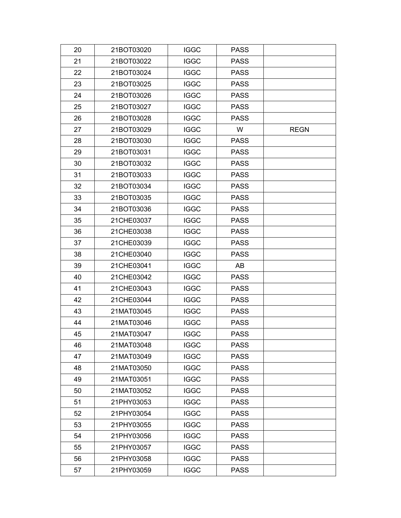| 20 | 21BOT03020 | <b>IGGC</b> | <b>PASS</b> |             |
|----|------------|-------------|-------------|-------------|
| 21 | 21BOT03022 | <b>IGGC</b> | <b>PASS</b> |             |
| 22 | 21BOT03024 | <b>IGGC</b> | <b>PASS</b> |             |
| 23 | 21BOT03025 | <b>IGGC</b> | <b>PASS</b> |             |
| 24 | 21BOT03026 | <b>IGGC</b> | <b>PASS</b> |             |
| 25 | 21BOT03027 | <b>IGGC</b> | <b>PASS</b> |             |
| 26 | 21BOT03028 | <b>IGGC</b> | <b>PASS</b> |             |
| 27 | 21BOT03029 | <b>IGGC</b> | W           | <b>REGN</b> |
| 28 | 21BOT03030 | <b>IGGC</b> | <b>PASS</b> |             |
| 29 | 21BOT03031 | <b>IGGC</b> | <b>PASS</b> |             |
| 30 | 21BOT03032 | <b>IGGC</b> | <b>PASS</b> |             |
| 31 | 21BOT03033 | <b>IGGC</b> | <b>PASS</b> |             |
| 32 | 21BOT03034 | <b>IGGC</b> | <b>PASS</b> |             |
| 33 | 21BOT03035 | <b>IGGC</b> | <b>PASS</b> |             |
| 34 | 21BOT03036 | <b>IGGC</b> | <b>PASS</b> |             |
| 35 | 21CHE03037 | <b>IGGC</b> | <b>PASS</b> |             |
| 36 | 21CHE03038 | <b>IGGC</b> | <b>PASS</b> |             |
| 37 | 21CHE03039 | <b>IGGC</b> | <b>PASS</b> |             |
| 38 | 21CHE03040 | <b>IGGC</b> | <b>PASS</b> |             |
| 39 | 21CHE03041 | <b>IGGC</b> | AB          |             |
| 40 | 21CHE03042 | <b>IGGC</b> | <b>PASS</b> |             |
| 41 | 21CHE03043 | <b>IGGC</b> | <b>PASS</b> |             |
| 42 | 21CHE03044 | <b>IGGC</b> | <b>PASS</b> |             |
| 43 | 21MAT03045 | <b>IGGC</b> | <b>PASS</b> |             |
| 44 | 21MAT03046 | <b>IGGC</b> | <b>PASS</b> |             |
| 45 | 21MAT03047 | <b>IGGC</b> | <b>PASS</b> |             |
| 46 | 21MAT03048 | <b>IGGC</b> | <b>PASS</b> |             |
| 47 | 21MAT03049 | <b>IGGC</b> | <b>PASS</b> |             |
| 48 | 21MAT03050 | <b>IGGC</b> | <b>PASS</b> |             |
| 49 | 21MAT03051 | <b>IGGC</b> | <b>PASS</b> |             |
| 50 | 21MAT03052 | <b>IGGC</b> | <b>PASS</b> |             |
| 51 | 21PHY03053 | <b>IGGC</b> | <b>PASS</b> |             |
| 52 | 21PHY03054 | <b>IGGC</b> | <b>PASS</b> |             |
| 53 | 21PHY03055 | <b>IGGC</b> | <b>PASS</b> |             |
| 54 | 21PHY03056 | <b>IGGC</b> | <b>PASS</b> |             |
| 55 | 21PHY03057 | <b>IGGC</b> | <b>PASS</b> |             |
| 56 | 21PHY03058 | <b>IGGC</b> | <b>PASS</b> |             |
| 57 | 21PHY03059 | <b>IGGC</b> | <b>PASS</b> |             |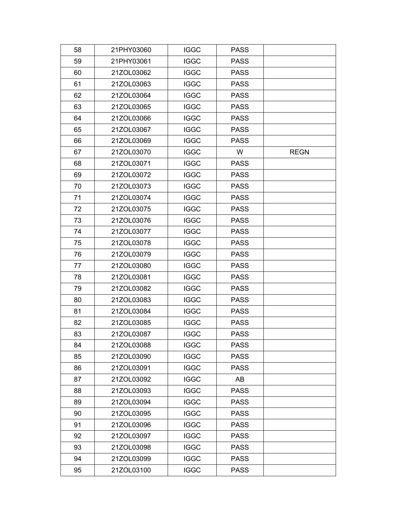| 58 | 21PHY03060 | <b>IGGC</b> | <b>PASS</b> |             |
|----|------------|-------------|-------------|-------------|
| 59 | 21PHY03061 | <b>IGGC</b> | <b>PASS</b> |             |
| 60 | 21ZOL03062 | <b>IGGC</b> | <b>PASS</b> |             |
| 61 | 21ZOL03063 | <b>IGGC</b> | <b>PASS</b> |             |
| 62 | 21ZOL03064 | <b>IGGC</b> | <b>PASS</b> |             |
| 63 | 21ZOL03065 | <b>IGGC</b> | <b>PASS</b> |             |
| 64 | 21ZOL03066 | <b>IGGC</b> | <b>PASS</b> |             |
| 65 | 21ZOL03067 | <b>IGGC</b> | <b>PASS</b> |             |
| 66 | 21ZOL03069 | <b>IGGC</b> | <b>PASS</b> |             |
| 67 | 21ZOL03070 | <b>IGGC</b> | W           | <b>REGN</b> |
| 68 | 21ZOL03071 | <b>IGGC</b> | <b>PASS</b> |             |
| 69 | 21ZOL03072 | <b>IGGC</b> | <b>PASS</b> |             |
| 70 | 21ZOL03073 | <b>IGGC</b> | <b>PASS</b> |             |
| 71 | 21ZOL03074 | <b>IGGC</b> | <b>PASS</b> |             |
| 72 | 21ZOL03075 | <b>IGGC</b> | <b>PASS</b> |             |
| 73 | 21ZOL03076 | <b>IGGC</b> | <b>PASS</b> |             |
| 74 | 21ZOL03077 | <b>IGGC</b> | <b>PASS</b> |             |
| 75 | 21ZOL03078 | <b>IGGC</b> | <b>PASS</b> |             |
| 76 | 21ZOL03079 | <b>IGGC</b> | <b>PASS</b> |             |
| 77 | 21ZOL03080 | <b>IGGC</b> | <b>PASS</b> |             |
| 78 | 21ZOL03081 | <b>IGGC</b> | <b>PASS</b> |             |
| 79 | 21ZOL03082 | <b>IGGC</b> | <b>PASS</b> |             |
| 80 | 21ZOL03083 | <b>IGGC</b> | <b>PASS</b> |             |
| 81 | 21ZOL03084 | <b>IGGC</b> | <b>PASS</b> |             |
| 82 | 21ZOL03085 | <b>IGGC</b> | <b>PASS</b> |             |
| 83 | 21ZOL03087 | <b>IGGC</b> | <b>PASS</b> |             |
| 84 | 21ZOL03088 | <b>IGGC</b> | <b>PASS</b> |             |
| 85 | 21ZOL03090 | <b>IGGC</b> | <b>PASS</b> |             |
| 86 | 21ZOL03091 | <b>IGGC</b> | <b>PASS</b> |             |
| 87 | 21ZOL03092 | <b>IGGC</b> | AB          |             |
| 88 | 21ZOL03093 | <b>IGGC</b> | <b>PASS</b> |             |
| 89 | 21ZOL03094 | <b>IGGC</b> | <b>PASS</b> |             |
| 90 | 21ZOL03095 | <b>IGGC</b> | <b>PASS</b> |             |
| 91 | 21ZOL03096 | <b>IGGC</b> | <b>PASS</b> |             |
| 92 | 21ZOL03097 | <b>IGGC</b> | <b>PASS</b> |             |
| 93 | 21ZOL03098 | <b>IGGC</b> | <b>PASS</b> |             |
| 94 | 21ZOL03099 | <b>IGGC</b> | <b>PASS</b> |             |
| 95 | 21ZOL03100 | <b>IGGC</b> | <b>PASS</b> |             |